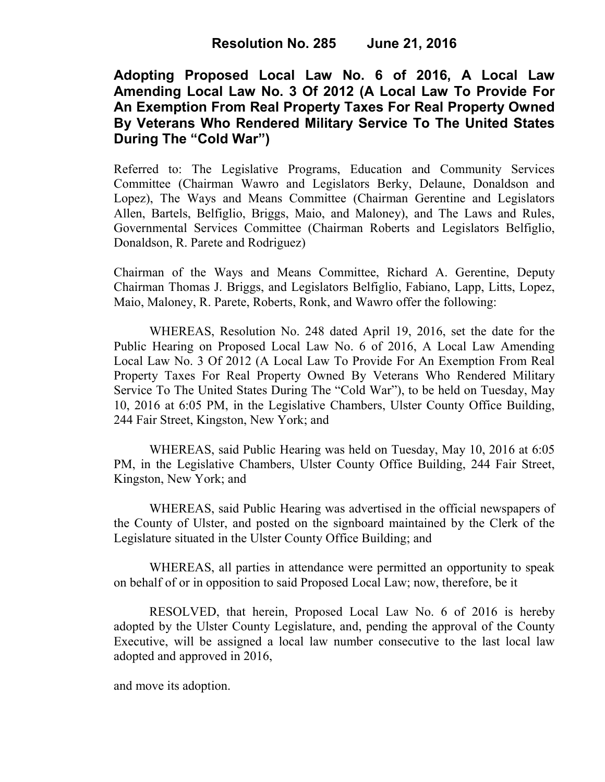## **Adopting Proposed Local Law No. 6 of 2016, A Local Law Amending Local Law No. 3 Of 2012 (A Local Law To Provide For An Exemption From Real Property Taxes For Real Property Owned By Veterans Who Rendered Military Service To The United States During The "Cold War")**

Referred to: The Legislative Programs, Education and Community Services Committee (Chairman Wawro and Legislators Berky, Delaune, Donaldson and Lopez), The Ways and Means Committee (Chairman Gerentine and Legislators Allen, Bartels, Belfiglio, Briggs, Maio, and Maloney), and The Laws and Rules, Governmental Services Committee (Chairman Roberts and Legislators Belfiglio, Donaldson, R. Parete and Rodriguez)

Chairman of the Ways and Means Committee, Richard A. Gerentine, Deputy Chairman Thomas J. Briggs, and Legislators Belfiglio, Fabiano, Lapp, Litts, Lopez, Maio, Maloney, R. Parete, Roberts, Ronk, and Wawro offer the following:

WHEREAS, Resolution No. 248 dated April 19, 2016, set the date for the Public Hearing on Proposed Local Law No. 6 of 2016, A Local Law Amending Local Law No. 3 Of 2012 (A Local Law To Provide For An Exemption From Real Property Taxes For Real Property Owned By Veterans Who Rendered Military Service To The United States During The "Cold War"), to be held on Tuesday, May 10, 2016 at 6:05 PM, in the Legislative Chambers, Ulster County Office Building, 244 Fair Street, Kingston, New York; and

WHEREAS, said Public Hearing was held on Tuesday, May 10, 2016 at 6:05 PM, in the Legislative Chambers, Ulster County Office Building, 244 Fair Street, Kingston, New York; and

WHEREAS, said Public Hearing was advertised in the official newspapers of the County of Ulster, and posted on the signboard maintained by the Clerk of the Legislature situated in the Ulster County Office Building; and

 WHEREAS, all parties in attendance were permitted an opportunity to speak on behalf of or in opposition to said Proposed Local Law; now, therefore, be it

RESOLVED, that herein, Proposed Local Law No. 6 of 2016 is hereby adopted by the Ulster County Legislature, and, pending the approval of the County Executive, will be assigned a local law number consecutive to the last local law adopted and approved in 2016,

and move its adoption.